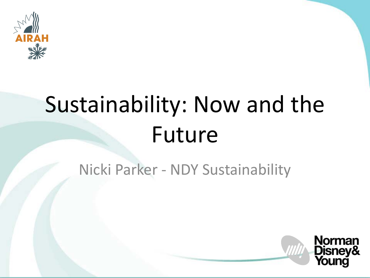

# Sustainability: Now and the Future

#### Nicki Parker - NDY Sustainability

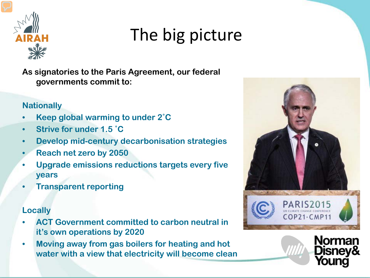

### The big picture

**As signatories to the Paris Agreement, our federal governments commit to:**

#### **Nationally**

- **Keep global warming to under 2˚C**
- **Strive for under 1.5 ˚C**
- **Develop mid-century decarbonisation strategies**
- **Reach net zero by 2050**
- **Upgrade emissions reductions targets every five years**
- **Transparent reporting**

#### **Locally**

- **ACT Government committed to carbon neutral in it's own operations by 2020**
- **Moving away from gas boilers for heating and hot water with a view that electricity will become clean**



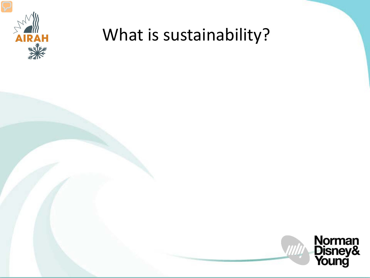

#### What is sustainability?

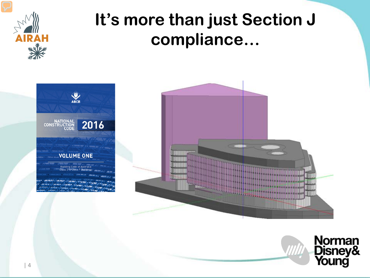

#### **It's more than just Section J compliance…**



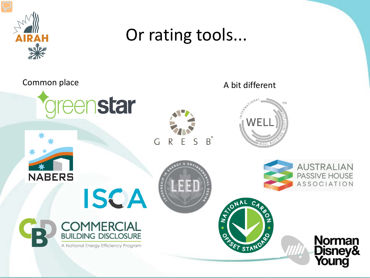

#### Or rating tools...

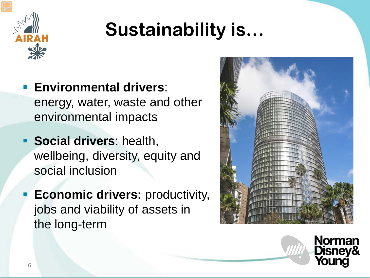

## **Sustainability is…**

- **Environmental drivers**: energy, water, waste and other environmental impacts
- **Social drivers: health,** wellbeing, diversity, equity and social inclusion
- **Economic drivers:** productivity, jobs and viability of assets in the long-term



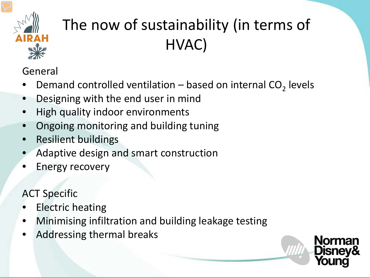

#### The now of sustainability (in terms of HVAC)

General

- Demand controlled ventilation based on internal  $CO<sub>2</sub>$  levels
- Designing with the end user in mind
- High quality indoor environments
- Ongoing monitoring and building tuning
- Resilient buildings
- Adaptive design and smart construction
- Energy recovery

ACT Specific

- **Electric heating**
- Minimising infiltration and building leakage testing
- Addressing thermal breaks

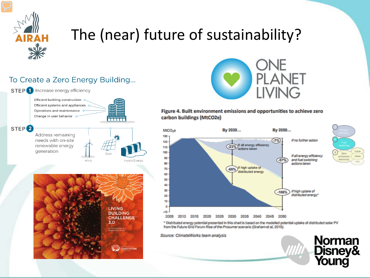

#### The (near) future of sustainability?





#### Figure 4. Built environment emissions and opportunities to achieve zero carbon buildings (MtCO2e)



Offsite

**Norman<br>Disney&<br>Young** 

\* Distributed energy potential presented in this chart is based on the modelled potential uptake of distributed solar PV from the Future Grid Forum Rise of the Prosumer scenario (Graham et al, 2015).

Source: ClimateWorks team analysis